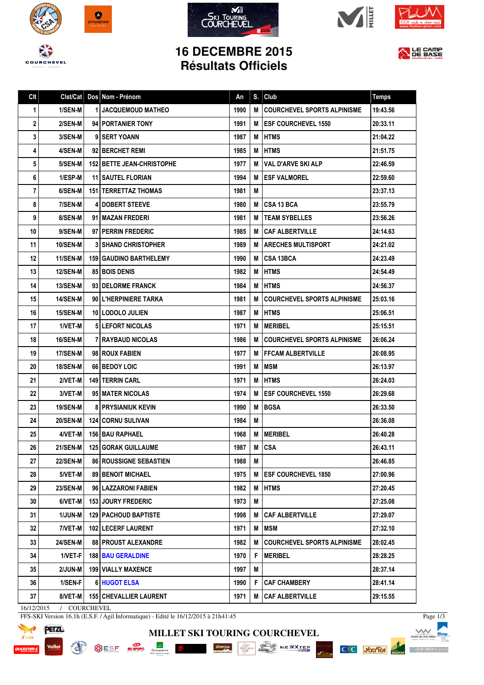









## **16 DECEMBRE 2015 Résultats Officiels**



| Clt | Clst/Cat        | Dos Nom - Prénom                 | An   | S. | Club                               | <b>Temps</b> |
|-----|-----------------|----------------------------------|------|----|------------------------------------|--------------|
| 1   | 1/SEN-M         | <b>1 JACQUEMOUD MATHEO</b>       | 1990 | M  | <b>COURCHEVEL SPORTS ALPINISME</b> | 19:43.56     |
| 2   | 2/SEN-M         | 94 PORTANIER TONY                | 1991 | м  | <b>IESF COURCHEVEL 1550</b>        | 20:33.11     |
| 3   | <b>3/SEN-M</b>  | 9 SERT YOANN                     | 1987 | M  | <b>IHTMS</b>                       | 21:04.22     |
| 4   | 4/SEN-M         | 92 BERCHET REMI                  | 1985 | М  | <b>IHTMS</b>                       | 21:51.75     |
| 5   | 5/SEN-M         | <b>152 BETTE JEAN-CHRISTOPHE</b> | 1977 | М  | <b>VAL D'ARVE SKI ALP</b>          | 22:46.59     |
| 6   | 1/ESP-M         | <b>11 SAUTEL FLORIAN</b>         | 1994 | м  | <b>IESF VALMOREL</b>               | 22:59.60     |
| 7   | 6/SEN-M         | <b>151 I TERRETTAZ THOMAS</b>    | 1981 | M  |                                    | 23:37.13     |
| 8   | 7/SEN-M         | <b>4 IDOBERT STEEVE</b>          | 1980 | м  | I CSA 13 BCA                       | 23:55.79     |
| 9   | 8/SEN-M         | 91 MAZAN FREDERI                 | 1981 | М  | <b>TEAM SYBELLES</b>               | 23:56.26     |
| 10  | 9/SEN-M         | 97   PERRIN FREDERIC             | 1985 | M  | CAF ALBERTVILLE                    | 24:14.63     |
| 11  | <b>10/SEN-M</b> | <b>3 SHAND CHRISTOPHER</b>       | 1989 | M  | <b>I ARECHES MULTISPORT</b>        | 24:21.02     |
| 12  | 11/SEN-M        | <b>159   GAUDINO BARTHELEMY</b>  | 1990 | м  | ICSA 13BCA                         | 24:23.49     |
| 13  | <b>12/SEN-M</b> | <b>85 BOIS DENIS</b>             | 1982 | М  | <b>HTMS</b>                        | 24:54.49     |
| 14  | <b>13/SEN-M</b> | 93 I DELORME FRANCK              | 1984 | M  | <b>IHTMS</b>                       | 24:56.37     |
| 15  | <b>14/SEN-M</b> | 90 L'HERPINIERE TARKA            | 1981 | М  | <b>COURCHEVEL SPORTS ALPINISME</b> | 25:03.16     |
| 16  | <b>15/SEN-M</b> | 10 LODOLO JULIEN                 | 1987 | M  | <b>HTMS</b>                        | 25:06.51     |
| 17  | 1/VET-M         | <b>51 LEFORT NICOLAS</b>         | 1971 | М  | <b>IMERIBEL</b>                    | 25:15.51     |
| 18  | <b>16/SEN-M</b> | <b>7 I RAYBAUD NICOLAS</b>       | 1986 | М  | I COURCHEVEL SPORTS ALPINISME      | 26:06.24     |
| 19  | 17/SEN-M        | 98 ROUX FABIEN                   | 1977 | M  | <b>FFCAM ALBERTVILLE</b>           | 26:08.95     |
| 20  | 18/SEN-M        | 66 BEDOY LOIC                    | 1991 | M  | <b>IMSM</b>                        | 26:13.97     |
| 21  | 2/VET-M         | <b>149 I TERRIN CARL</b>         | 1971 | М  | <b>HTMS</b>                        | 26:24.03     |
| 22  | 3/VET-M         | 95 MATER NICOLAS                 | 1974 | М  | <b>ESF COURCHEVEL 1550</b>         | 26:29.68     |
| 23  | <b>19/SEN-M</b> | <b>8   PRYSIANIUK KEVIN</b>      | 1990 | M  | <b>BGSA</b>                        | 26:33.50     |
| 24  | <b>20/SEN-M</b> | 124 CORNU SULIVAN                | 1984 | M  |                                    | 26:36.08     |
| 25  | 4/VET-MI        | <b>156 BAU RAPHAEL</b>           | 1968 | M  | <b>MERIBEL</b>                     | 26:40.28     |
| 26  | 21/SEN-M        | <b>125 GORAK GUILLAUME</b>       | 1987 |    | M CSA                              | 26:43.11     |
| 27  | 22/SEN-M        | <b>86 ROUSSIGNE SEBASTIEN</b>    | 1988 | М  |                                    | 26:46.85     |
| 28  | 5/VET-M         | <b>89 BENOIT MICHAEL</b>         | 1975 | M  | <b>ESF COURCHEVEL 1850</b>         | 27:00.96     |
| 29  | 23/SEN-M        | 96 LAZZARONI FABIEN              | 1982 | M  | <b>HTMS</b>                        | 27:20.45     |
| 30  | 6/VET-M         | <b>153 JOURY FREDERIC</b>        | 1973 | M  |                                    | 27:25.08     |
| 31  | 1/JUN-M         | <b>129   PACHOUD BAPTISTE</b>    | 1998 | M  | <b>CAF ALBERTVILLE</b>             | 27:29.07     |
| 32  | 7/VET-M         | 102 LECERF LAURENT               | 1971 | Μ  | <b>MSM</b>                         | 27:32.10     |
| 33  | <b>24/SEN-M</b> | <b>88 PROUST ALEXANDRE</b>       | 1982 | M  | <b>COURCHEVEL SPORTS ALPINISME</b> | 28:02.45     |
| 34  | 1/VET-F         | <b>188   BAU GERALDINE</b>       | 1970 | F. | <b>MERIBEL</b>                     | 28:28.25     |
| 35  | 2/JUN-M         | <b>199 VIALLY MAXENCE</b>        | 1997 | Μ  |                                    | 28:37.14     |
| 36  | 1/SEN-F         | 6 HUGOT ELSA                     | 1990 | F. | <b>CAF CHAMBERY</b>                | 28:41.14     |
| 37  | 8/VET-M         | <b>155 CHEVALLIER LAURENT</b>    | 1971 | M  | <b>CAF ALBERTVILLE</b>             | 29:15.55     |

**MILLET SKI TOURING COURCHEVEL**

SESE When Groupman E Sherpa Sherpa Construction of the Monday NEXX THERE

16/12/2015 / COURCHEVEL

FFS-SKI Version 16.1h (E.S.F. / Agil Informatique) - Edité le 16/12/2015 à 21h41:45



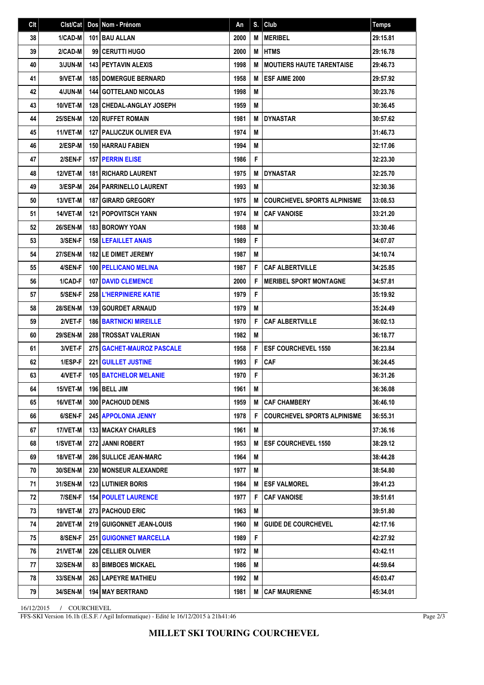| C <sub>It</sub> | Clst/Cat        | Dos Nom - Prénom                   | An   | S. | Club                               | <b>Temps</b> |
|-----------------|-----------------|------------------------------------|------|----|------------------------------------|--------------|
| 38              | 1/CAD-M         | 101 BAU ALLAN                      | 2000 | M  | <b>MERIBEL</b>                     | 29:15.81     |
| 39              | 2/CAD-M         | 99 CERUTTI HUGO                    | 2000 | M  | <b>HTMS</b>                        | 29:16.78     |
| 40              | 3/JUN-M         | 143 PEYTAVIN ALEXIS                | 1998 | M  | <b>IMOUTIERS HAUTE TARENTAISE</b>  | 29:46.73     |
| 41              | 9/VET-M         | <b>185 DOMERGUE BERNARD</b>        | 1958 | M  | <b>ESF AIME 2000</b>               | 29:57.92     |
| 42              | 4/JUN-M         | <b>144 GOTTELAND NICOLAS</b>       | 1998 | M  |                                    | 30:23.76     |
| 43              | 10/VET-M        | <b>128 CHEDAL-ANGLAY JOSEPH</b>    | 1959 | M  |                                    | 30:36.45     |
| 44              | <b>25/SEN-M</b> | 120 RUFFET ROMAIN                  | 1981 | M  | <b>DYNASTAR</b>                    | 30:57.62     |
| 45              | 11/VET-M        | <b>127   PALIJCZUK OLIVIER EVA</b> | 1974 | M  |                                    | 31:46.73     |
| 46              | 2/ESP-M         | 150 HARRAU FABIEN                  | 1994 | M  |                                    | 32:17.06     |
| 47              | 2/SEN-F         | <b>157   PERRIN ELISE</b>          | 1986 | F  |                                    | 32:23.30     |
| 48              | <b>12/VET-M</b> | <b>181   RICHARD LAURENT</b>       | 1975 | М  | <b>DYNASTAR</b>                    | 32:25.70     |
| 49              | 3/ESP-M         | <b>264   PARRINELLO LAURENT</b>    | 1993 | M  |                                    | 32:30.36     |
| 50              | 13/VET-M        | <b>187 GIRARD GREGORY</b>          | 1975 | M  | <b>COURCHEVEL SPORTS ALPINISME</b> | 33:08.53     |
| 51              | 14/VET-M        | <b>121 POPOVITSCH YANN</b>         | 1974 | M  | <b>CAF VANOISE</b>                 | 33:21.20     |
| 52              | <b>26/SEN-M</b> | <b>183 BOROWY YOAN</b>             | 1988 | M  |                                    | 33:30.46     |
| 53              | 3/SEN-F         | <b>158 LEFAILLET ANAIS</b>         | 1989 | F  |                                    | 34:07.07     |
| 54              | <b>27/SEN-M</b> | 182 LE DIMET JEREMY                | 1987 | M  |                                    | 34:10.74     |
| 55              | 4/SEN-F         | 100 PELLICANO MELINA               | 1987 | F  | <b>CAF ALBERTVILLE</b>             | 34:25.85     |
| 56              | 1/CAD-F         | <b>107 IDAVID CLEMENCE</b>         | 2000 | F  | <b>MERIBEL SPORT MONTAGNE</b>      | 34:57.81     |
| 57              | 5/SEN-F         | <b>258 L'HERPINIERE KATIE</b>      | 1979 | F  |                                    | 35:19.92     |
| 58              | <b>28/SEN-M</b> | 139 GOURDET ARNAUD                 | 1979 | M  |                                    | 35:24.49     |
| 59              | 2/VET-F         | <b>186 BARTNICKI MIREILLE</b>      | 1970 | F  | <b>CAF ALBERTVILLE</b>             | 36:02.13     |
| 60              | <b>29/SEN-M</b> | <b>288   TROSSAT VALERIAN</b>      | 1982 | M  |                                    | 36:18.77     |
| 61              | 3/VET-F         | <b>275   GACHET-MAUROZ PASCALE</b> | 1958 | F  | <b>ESF COURCHEVEL 1550</b>         | 36:23.84     |
| 62              | 1/ESP-F         | <b>221 GUILLET JUSTINE</b>         | 1993 | F  | <b>CAF</b>                         | 36:24.45     |
| 63              | 4/VET-F         | <b>105 BATCHELOR MELANIE</b>       | 1970 | F  |                                    | 36:31.26     |
| 64              | 15/VET-M        | 196 BELL JIM                       | 1961 | Μ  |                                    | 36:36.08     |
| 65              | 16/VET-MI       | <b>300   PACHOUD DENIS</b>         | 1959 | M  | <b>CAF CHAMBERY</b>                | 36:46.10     |
| 66              | 6/SEN-F         | <b>245 APPOLONIA JENNY</b>         | 1978 | F  | <b>COURCHEVEL SPORTS ALPINISME</b> | 36:55.31     |
| 67              | 17/VET-M        | <b>133 MACKAY CHARLES</b>          | 1961 | M  |                                    | 37:36.16     |
| 68              | 1/SVET-M        | 272 JANNI ROBERT                   | 1953 | M  | <b>ESF COURCHEVEL 1550</b>         | 38:29.12     |
| 69              | <b>18/VET-M</b> | <b>286 SULLICE JEAN-MARC</b>       | 1964 | M  |                                    | 38:44.28     |
| 70              | <b>30/SEN-M</b> | <b>230   MONSEUR ALEXANDRE</b>     | 1977 | M  |                                    | 38:54.80     |
| 71              | 31/SEN-M        | <b>123 LUTINIER BORIS</b>          | 1984 | M  | <b>ESF VALMOREL</b>                | 39:41.23     |
| 72              | 7/SEN-F         | <b>154 POULET LAURENCE</b>         | 1977 | F  | <b>CAF VANOISE</b>                 | 39:51.61     |
| 73              | 19/VET-M        | <b>273   PACHOUD ERIC</b>          | 1963 | M  |                                    | 39:51.80     |
| 74              | 20/VET-M        | 219 GUIGONNET JEAN-LOUIS           | 1960 | M  | <b>GUIDE DE COURCHEVEL</b>         | 42:17.16     |
| 75              | 8/SEN-F         | <b>251   GUIGONNET MARCELLA</b>    | 1989 | F  |                                    | 42:27.92     |
| 76              | <b>21/VET-M</b> | 226 CELLIER OLIVIER                | 1972 | M  |                                    | 43:42.11     |
| 77              | <b>32/SEN-M</b> | <b>83 BIMBOES MICKAEL</b>          | 1986 | M  |                                    | 44:59.64     |
| 78              | <b>33/SEN-M</b> | <b>263   LAPEYRE MATHIEU</b>       | 1992 | М  |                                    | 45:03.47     |
| 79              | <b>34/SEN-M</b> | 194 MAY BERTRAND                   | 1981 | M  | <b>CAF MAURIENNE</b>               | 45:34.01     |

16/12/2015 / COURCHEVEL

FFS-SKI Version 16.1h (E.S.F. / Agil Informatique) - Edité le 16/12/2015 à 21h41:46

Page 2/3